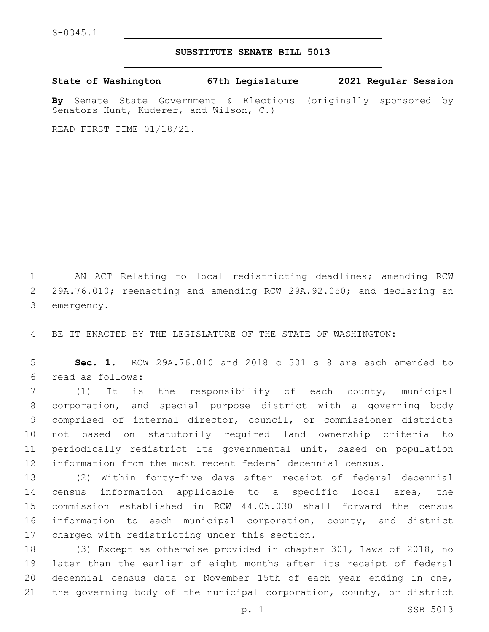## **SUBSTITUTE SENATE BILL 5013**

**State of Washington 67th Legislature 2021 Regular Session**

**By** Senate State Government & Elections (originally sponsored by Senators Hunt, Kuderer, and Wilson, C.)

READ FIRST TIME 01/18/21.

1 AN ACT Relating to local redistricting deadlines; amending RCW 2 29A.76.010; reenacting and amending RCW 29A.92.050; and declaring an 3 emergency.

4 BE IT ENACTED BY THE LEGISLATURE OF THE STATE OF WASHINGTON:

5 **Sec. 1.** RCW 29A.76.010 and 2018 c 301 s 8 are each amended to read as follows:6

 (1) It is the responsibility of each county, municipal corporation, and special purpose district with a governing body comprised of internal director, council, or commissioner districts not based on statutorily required land ownership criteria to periodically redistrict its governmental unit, based on population information from the most recent federal decennial census.

 (2) Within forty-five days after receipt of federal decennial census information applicable to a specific local area, the commission established in RCW 44.05.030 shall forward the census information to each municipal corporation, county, and district 17 charged with redistricting under this section.

 (3) Except as otherwise provided in chapter 301, Laws of 2018, no 19 later than the earlier of eight months after its receipt of federal decennial census data or November 15th of each year ending in one, the governing body of the municipal corporation, county, or district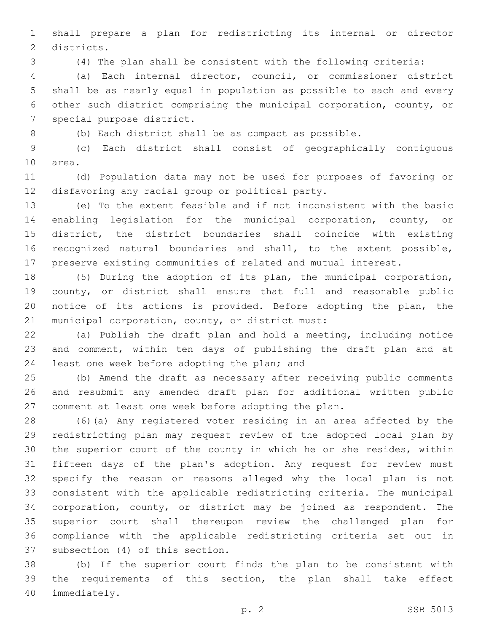shall prepare a plan for redistricting its internal or director 2 districts.

(4) The plan shall be consistent with the following criteria:

 (a) Each internal director, council, or commissioner district shall be as nearly equal in population as possible to each and every other such district comprising the municipal corporation, county, or 7 special purpose district.

(b) Each district shall be as compact as possible.

 (c) Each district shall consist of geographically contiguous 10 area.

 (d) Population data may not be used for purposes of favoring or 12 disfavoring any racial group or political party.

 (e) To the extent feasible and if not inconsistent with the basic enabling legislation for the municipal corporation, county, or district, the district boundaries shall coincide with existing recognized natural boundaries and shall, to the extent possible, preserve existing communities of related and mutual interest.

 (5) During the adoption of its plan, the municipal corporation, 19 county, or district shall ensure that full and reasonable public notice of its actions is provided. Before adopting the plan, the 21 municipal corporation, county, or district must:

 (a) Publish the draft plan and hold a meeting, including notice and comment, within ten days of publishing the draft plan and at 24 least one week before adopting the plan; and

 (b) Amend the draft as necessary after receiving public comments and resubmit any amended draft plan for additional written public comment at least one week before adopting the plan.

 (6)(a) Any registered voter residing in an area affected by the redistricting plan may request review of the adopted local plan by the superior court of the county in which he or she resides, within fifteen days of the plan's adoption. Any request for review must specify the reason or reasons alleged why the local plan is not consistent with the applicable redistricting criteria. The municipal corporation, county, or district may be joined as respondent. The superior court shall thereupon review the challenged plan for compliance with the applicable redistricting criteria set out in 37 subsection (4) of this section.

 (b) If the superior court finds the plan to be consistent with the requirements of this section, the plan shall take effect 40 immediately.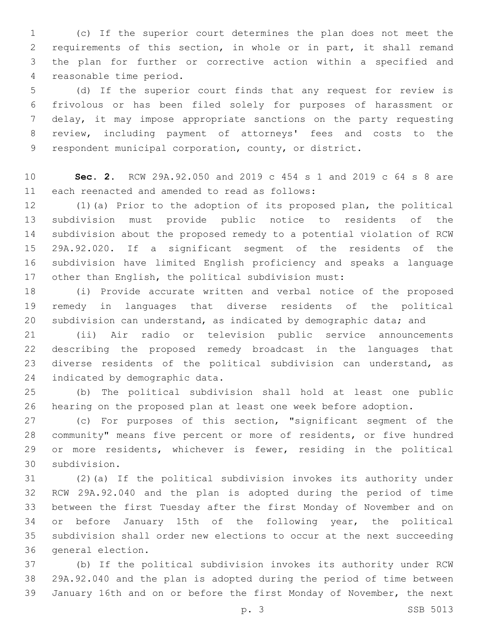(c) If the superior court determines the plan does not meet the requirements of this section, in whole or in part, it shall remand the plan for further or corrective action within a specified and 4 reasonable time period.

 (d) If the superior court finds that any request for review is frivolous or has been filed solely for purposes of harassment or delay, it may impose appropriate sanctions on the party requesting review, including payment of attorneys' fees and costs to the respondent municipal corporation, county, or district.

 **Sec. 2.** RCW 29A.92.050 and 2019 c 454 s 1 and 2019 c 64 s 8 are 11 each reenacted and amended to read as follows:

 (1)(a) Prior to the adoption of its proposed plan, the political subdivision must provide public notice to residents of the subdivision about the proposed remedy to a potential violation of RCW 29A.92.020. If a significant segment of the residents of the subdivision have limited English proficiency and speaks a language other than English, the political subdivision must:

 (i) Provide accurate written and verbal notice of the proposed remedy in languages that diverse residents of the political 20 subdivision can understand, as indicated by demographic data; and

 (ii) Air radio or television public service announcements describing the proposed remedy broadcast in the languages that diverse residents of the political subdivision can understand, as 24 indicated by demographic data.

 (b) The political subdivision shall hold at least one public hearing on the proposed plan at least one week before adoption.

 (c) For purposes of this section, "significant segment of the community" means five percent or more of residents, or five hundred or more residents, whichever is fewer, residing in the political subdivision.30

 (2)(a) If the political subdivision invokes its authority under RCW 29A.92.040 and the plan is adopted during the period of time between the first Tuesday after the first Monday of November and on or before January 15th of the following year, the political subdivision shall order new elections to occur at the next succeeding 36 general election.

 (b) If the political subdivision invokes its authority under RCW 29A.92.040 and the plan is adopted during the period of time between January 16th and on or before the first Monday of November, the next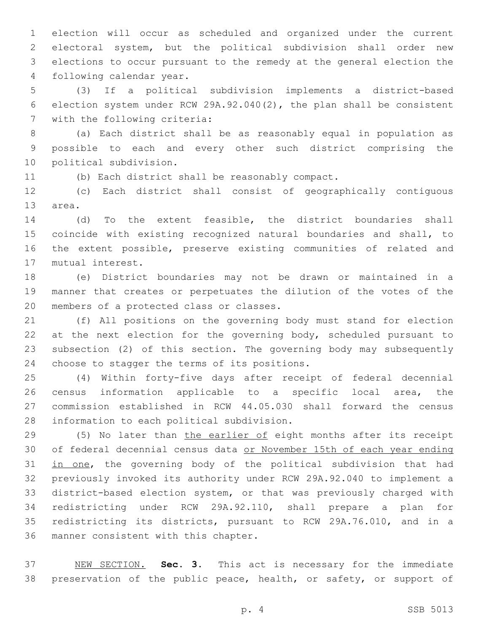election will occur as scheduled and organized under the current electoral system, but the political subdivision shall order new elections to occur pursuant to the remedy at the general election the 4 following calendar year.

 (3) If a political subdivision implements a district-based election system under RCW 29A.92.040(2), the plan shall be consistent 7 with the following criteria:

 (a) Each district shall be as reasonably equal in population as possible to each and every other such district comprising the 10 political subdivision.

(b) Each district shall be reasonably compact.

 (c) Each district shall consist of geographically contiguous 13 area.

 (d) To the extent feasible, the district boundaries shall coincide with existing recognized natural boundaries and shall, to the extent possible, preserve existing communities of related and 17 mutual interest.

 (e) District boundaries may not be drawn or maintained in a manner that creates or perpetuates the dilution of the votes of the 20 members of a protected class or classes.

 (f) All positions on the governing body must stand for election 22 at the next election for the governing body, scheduled pursuant to subsection (2) of this section. The governing body may subsequently 24 choose to stagger the terms of its positions.

 (4) Within forty-five days after receipt of federal decennial census information applicable to a specific local area, the commission established in RCW 44.05.030 shall forward the census 28 information to each political subdivision.

 (5) No later than the earlier of eight months after its receipt of federal decennial census data or November 15th of each year ending 31 in one, the governing body of the political subdivision that had previously invoked its authority under RCW 29A.92.040 to implement a district-based election system, or that was previously charged with redistricting under RCW 29A.92.110, shall prepare a plan for redistricting its districts, pursuant to RCW 29A.76.010, and in a 36 manner consistent with this chapter.

 NEW SECTION. **Sec. 3.** This act is necessary for the immediate 38 preservation of the public peace, health, or safety, or support of